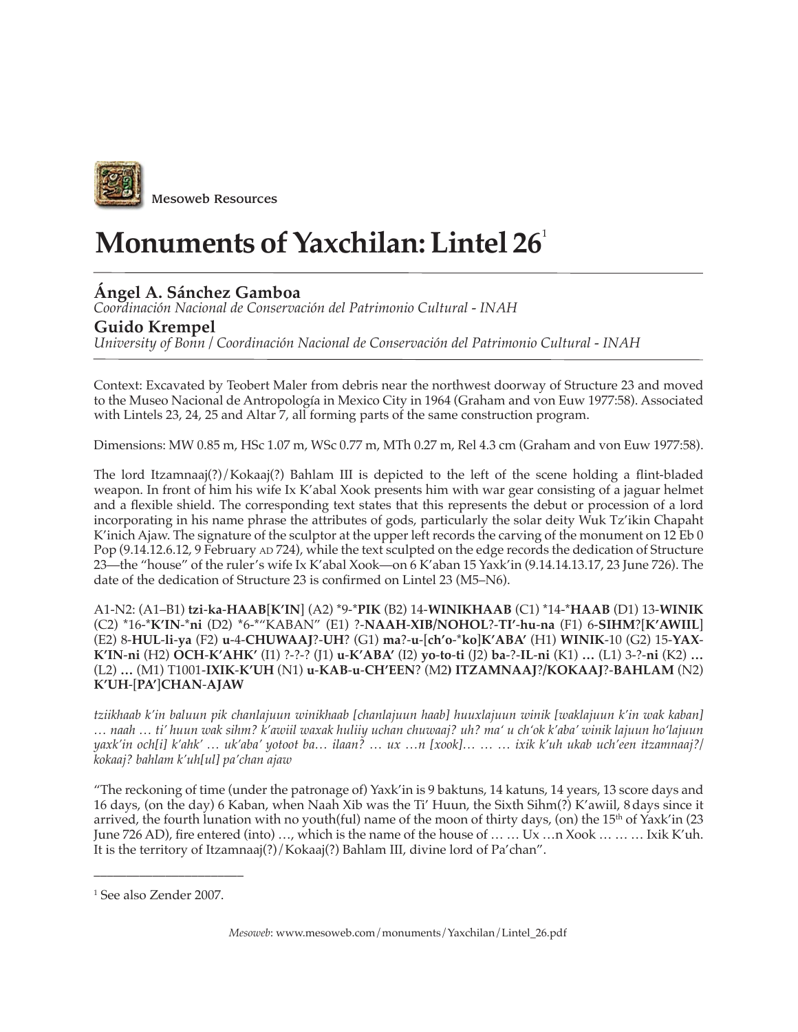

# **Monuments of Yaxchilan: Lintel 26**<sup>1</sup>

# **Ángel A. Sánchez Gamboa**

*Coordinación Nacional de Conservación del Patrimonio Cultural - INAH*

## **Guido Krempel**

*University of Bonn / Coordinación Nacional de Conservación del Patrimonio Cultural - INAH*

Context: Excavated by Teobert Maler from debris near the northwest doorway of Structure 23 and moved to the Museo Nacional de Antropología in Mexico City in 1964 (Graham and von Euw 1977:58). Associated with Lintels 23, 24, 25 and Altar 7, all forming parts of the same construction program.

Dimensions: MW 0.85 m, HSc 1.07 m, WSc 0.77 m, MTh 0.27 m, Rel 4.3 cm (Graham and von Euw 1977:58).

The lord Itzamnaaj(?)/Kokaaj(?) Bahlam III is depicted to the left of the scene holding a flint-bladed weapon. In front of him his wife Ix K'abal Xook presents him with war gear consisting of a jaguar helmet and a flexible shield. The corresponding text states that this represents the debut or procession of a lord incorporating in his name phrase the attributes of gods, particularly the solar deity Wuk Tz'ikin Chapaht K'inich Ajaw. The signature of the sculptor at the upper left records the carving of the monument on 12 Eb 0 Pop (9.14.12.6.12, 9 February AD 724), while the text sculpted on the edge records the dedication of Structure 23—the "house" of the ruler's wife Ix K'abal Xook—on 6 K'aban 15 Yaxk'in (9.14.14.13.17, 23 June 726). The date of the dedication of Structure 23 is confirmed on Lintel 23 (M5–N6).

A1-N2: (A1–B1) **tzi**-**ka**-**HAAB**[**K'IN**] (A2) \*9-\***PIK** (B2) 14-**WINIKHAAB** (C1) \*14-\***HAAB** (D1) 13-**WINIK** (C2) \*16-\***K'IN**-\***ni** (D2) **\***6-\*"KABAN" (E1) ?-**NAAH**-**XIB/NOHOL**?-**TI'**-**hu**-**na** (F1) 6-**SIHM**?[**K'AWIIL**] (E2) 8-**HUL**-**li**-**ya** (F2) **u**-4-**CHUWAAJ**?-**UH**? (G1) **ma**?-**u**-[**ch'o**-\***ko**]**K'ABA'** (H1) **WINIK**-10 (G2) 15-**YAX**-**K'IN**-**ni** (H2) **OCH**-**K'AHK'** (I1) ?-?-? (J1) **u**-**K'ABA'** (I2) **yo**-**to**-**ti** (J2) **ba**-?-**IL**-**ni** (K1) **…** (L1) 3-?-**ni** (K2) **…**  (L2) **…** (M1) T1001-**IXIK**-**K'UH** (N1) **u**-**KAB**-**u**-**CH'EEN**? (M2**) ITZAMNAAJ**?**/KOKAAJ**?-**BAHLAM** (N2) **K'UH**-[**PA'**]**CHAN**-**AJAW**

*tziikhaab k'in baluun pik chanlajuun winikhaab [chanlajuun haab] huuxlajuun winik [waklajuun k'in wak kaban] … naah … ti' huun wak sihm? k'awiil waxak huliiy uchan chuwaaj? uh? ma' u ch'ok k'aba' winik lajuun ho'lajuun yaxk'in och[i] k'ahk' … uk'aba' yotoot ba… ilaan? … ux …n [xook]… … … ixik k'uh ukab uch'een itzamnaaj?/ kokaaj? bahlam k'uh[ul] pa'chan ajaw*

"The reckoning of time (under the patronage of) Yaxk'in is 9 baktuns, 14 katuns, 14 years, 13 score days and 16 days, (on the day) 6 Kaban, when Naah Xib was the Ti' Huun, the Sixth Sihm(?) K'awiil, 8 days since it arrived, the fourth lunation with no youth(ful) name of the moon of thirty days, (on) the 15<sup>th</sup> of Yaxk'in (23 June 726 AD), fire entered (into) …, which is the name of the house of … … Ux …n Xook … … … Ixik K'uh. It is the territory of Itzamnaaj(?)/Kokaaj(?) Bahlam III, divine lord of Pa'chan".

\_\_\_\_\_\_\_\_\_\_\_\_\_\_\_\_\_\_\_\_\_\_\_

<sup>1</sup> See also Zender 2007.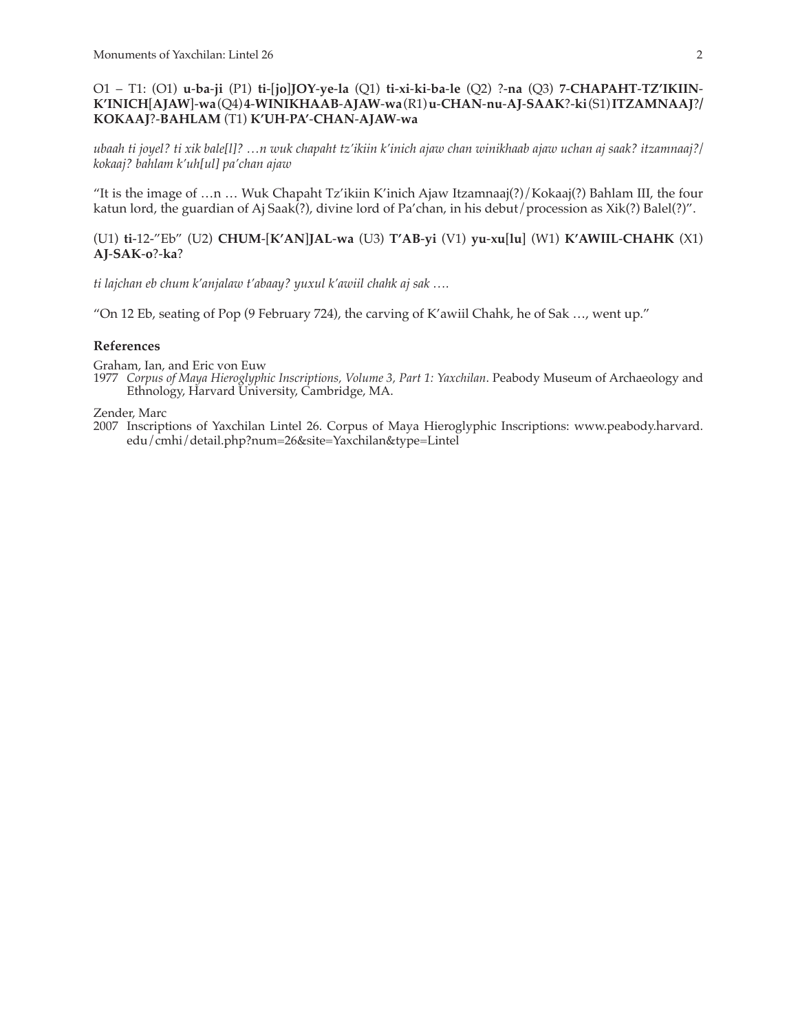### O1 – T1: (O1) **u**-**ba**-**ji** (P1) **ti**-[**jo**]**JOY**-**ye**-**la** (Q1) **ti**-**xi**-**ki**-**ba**-**le** (Q2) ?-**na** (Q3) **7**-**CHAPAHT**-**TZ'IKIIN**-**K'INICH**[**AJAW**]-**wa** (Q4) **4**-**WINIKHAAB**-**AJAW**-**wa** (R1) **u**-**CHAN**-**nu**-**AJ**-**SAAK**?-**ki** (S1) **ITZAMNAAJ**?**/ KOKAAJ**?-**BAHLAM** (T1) **K'UH**-**PA'**-**CHAN**-**AJAW**-**wa**

*ubaah ti joyel? ti xik bale[l]? …n wuk chapaht tz'ikiin k'inich ajaw chan winikhaab ajaw uchan aj saak? itzamnaaj?/ kokaaj? bahlam k'uh[ul] pa'chan ajaw*

"It is the image of …n … Wuk Chapaht Tz'ikiin K'inich Ajaw Itzamnaaj(?)/Kokaaj(?) Bahlam III, the four katun lord, the guardian of Aj Saak(?), divine lord of Pa'chan, in his debut/procession as Xik(?) Balel(?)".

(U1) **ti**-12-"Eb" (U2) **CHUM**-[**K'AN**]**JAL**-**wa** (U3) **T'AB**-**yi** (V1) **yu**-**xu**[**lu**] (W1) **K'AWIIL**-**CHAHK** (X1) **AJ**-**SAK**-**o**?-**ka**?

*ti lajchan eb chum k'anjalaw t'abaay? yuxul k'awiil chahk aj sak ….*

"On 12 Eb, seating of Pop (9 February 724), the carving of K'awiil Chahk, he of Sak …, went up."

#### **References**

Graham, Ian, and Eric von Euw

1977 *Corpus of Maya Hieroglyphic Inscriptions, Volume 3, Part 1: Yaxchilan*. Peabody Museum of Archaeology and Ethnology, Harvard University, Cambridge, MA.

Zender, Marc

2007 Inscriptions of Yaxchilan Lintel 26. Corpus of Maya Hieroglyphic Inscriptions: www.peabody.harvard. edu/cmhi/detail.php?num=26&site=Yaxchilan&type=Lintel